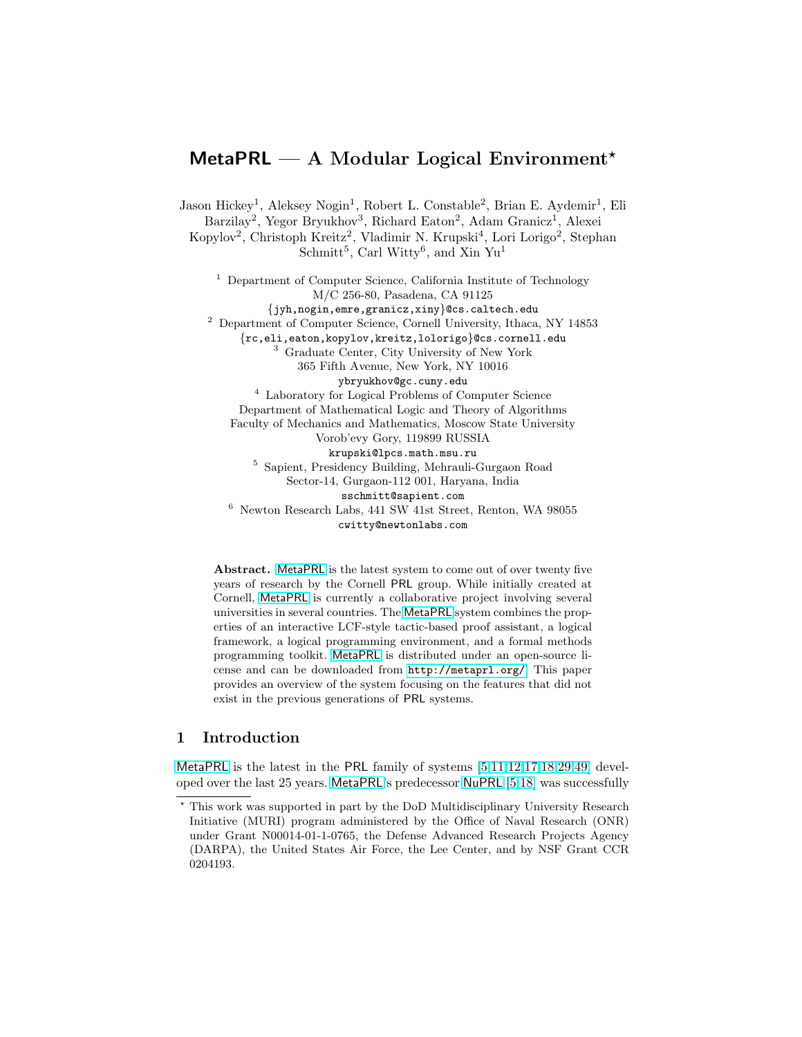# MetaPRL  $-$  A Modular Logical Environment<sup>\*</sup>

Jason Hickey<sup>1</sup>, Aleksey Nogin<sup>1</sup>, Robert L. Constable<sup>2</sup>, Brian E. Aydemir<sup>1</sup>, Eli Barzilay<sup>2</sup>, Yegor Bryukhov<sup>3</sup>, Richard Eaton<sup>2</sup>, Adam Granicz<sup>1</sup>, Alexei Kopylov<sup>2</sup>, Christoph Kreitz<sup>2</sup>, Vladimir N. Krupski<sup>4</sup>, Lori Lorigo<sup>2</sup>, Stephan Schmitt<sup>5</sup>, Carl Witty<sup>6</sup>, and Xin Yu<sup>1</sup>

 $1$  Department of Computer Science, California Institute of Technology M/C 256-80, Pasadena, CA 91125

{jyh,nogin,emre,granicz,xiny}@cs.caltech.edu <sup>2</sup> Department of Computer Science, Cornell University, Ithaca, NY 14853 {rc,eli,eaton,kopylov,kreitz,lolorigo}@cs.cornell.edu <sup>3</sup> Graduate Center, City University of New York 365 Fifth Avenue, New York, NY 10016

ybryukhov@gc.cuny.edu <sup>4</sup> Laboratory for Logical Problems of Computer Science Department of Mathematical Logic and Theory of Algorithms Faculty of Mechanics and Mathematics, Moscow State University Vorob'evy Gory, 119899 RUSSIA krupski@lpcs.math.msu.ru <sup>5</sup> Sapient, Presidency Building, Mehrauli-Gurgaon Road Sector-14, Gurgaon-112 001, Haryana, India sschmitt@sapient.com  $^6\,$  Newton Research Labs, 441 SW 41st Street, Renton, WA 98055

cwitty@newtonlabs.com

Abstract. [MetaPRL](http://metaprl.org/) is the latest system to come out of over twenty five years of research by the Cornell PRL group. While initially created at Cornell, [MetaPRL](http://metaprl.org/) is currently a collaborative project involving several universities in several countries. The [MetaPRL](http://metaprl.org/) system combines the properties of an interactive LCF-style tactic-based proof assistant, a logical framework, a logical programming environment, and a formal methods programming toolkit. [MetaPRL](http://metaprl.org/) is distributed under an open-source license and can be downloaded from <http://metaprl.org/>. This paper provides an overview of the system focusing on the features that did not exist in the previous generations of PRL systems.

# 1 Introduction

[MetaPRL](http://metaprl.org/) is the latest in the PRL family of systems [\[5,11,12,17,18](#page-13-0)[,29,](#page-14-0)[49\]](#page-15-0) developed over the last 25 years. [MetaPRL](http://metaprl.org/)'s predecessor [NuPRL](http://nuprl.org/) [\[5,18\]](#page-13-0) was successfully

<sup>?</sup> This work was supported in part by the DoD Multidisciplinary University Research Initiative (MURI) program administered by the Office of Naval Research (ONR) under Grant N00014-01-1-0765, the Defense Advanced Research Projects Agency (DARPA), the United States Air Force, the Lee Center, and by NSF Grant CCR 0204193.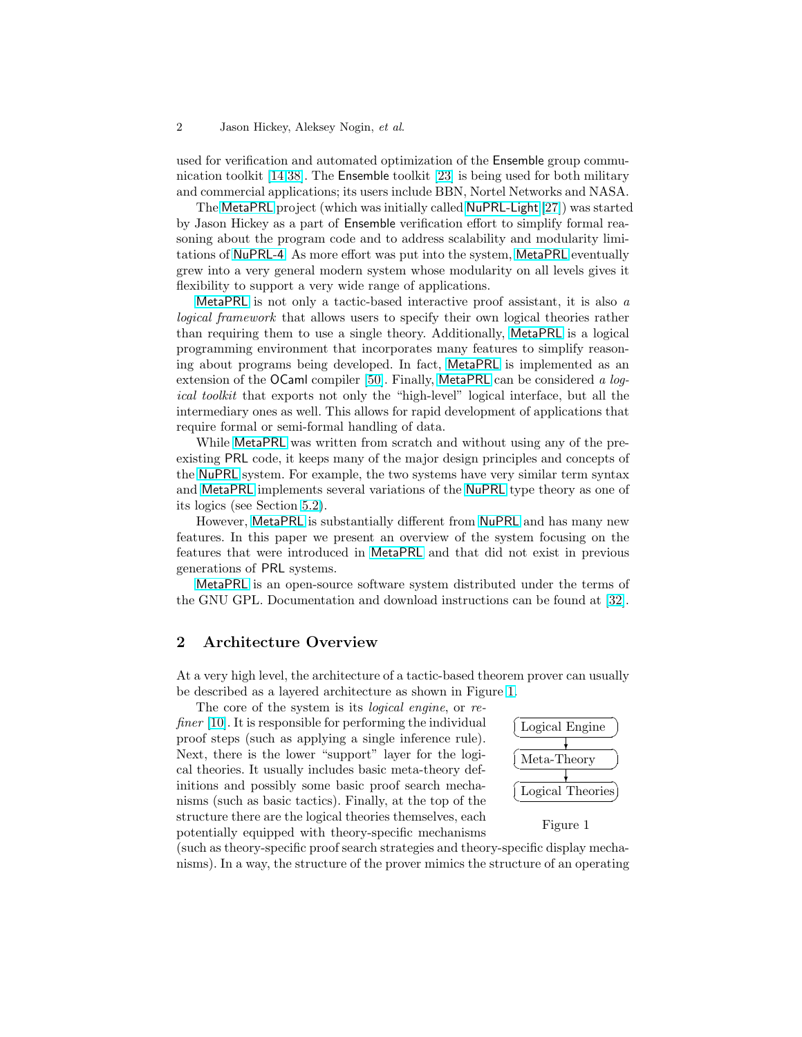<span id="page-1-0"></span>used for verification and automated optimization of the Ensemble group communication toolkit [\[14,](#page-13-0)[38\]](#page-15-0). The Ensemble toolkit [\[23\]](#page-14-0) is being used for both military and commercial applications; its users include BBN, Nortel Networks and NASA.

The [MetaPRL](http://metaprl.org/) project (which was initially called [NuPRL-Light](http://nuprl.org/) [\[27\]](#page-14-0)) was started by Jason Hickey as a part of Ensemble verification effort to simplify formal reasoning about the program code and to address scalability and modularity limitations of [NuPRL-4](http://nuprl.org/). As more effort was put into the system, [MetaPRL](http://metaprl.org/) eventually grew into a very general modern system whose modularity on all levels gives it flexibility to support a very wide range of applications.

[MetaPRL](http://metaprl.org/) is not only a tactic-based interactive proof assistant, it is also a logical framework that allows users to specify their own logical theories rather than requiring them to use a single theory. Additionally, [MetaPRL](http://metaprl.org/) is a logical programming environment that incorporates many features to simplify reasoning about programs being developed. In fact, [MetaPRL](http://metaprl.org/) is implemented as an extension of the OCaml compiler [\[50\]](#page-15-0). Finally, [MetaPRL](http://metaprl.org/) can be considered a logical toolkit that exports not only the "high-level" logical interface, but all the intermediary ones as well. This allows for rapid development of applications that require formal or semi-formal handling of data.

While [MetaPRL](http://metaprl.org/) was written from scratch and without using any of the preexisting PRL code, it keeps many of the major design principles and concepts of the [NuPRL](http://nuprl.org/) system. For example, the two systems have very similar term syntax and [MetaPRL](http://metaprl.org/) implements several variations of the [NuPRL](http://nuprl.org/) type theory as one of its logics (see Section [5.2\)](#page-9-0).

However, [MetaPRL](http://metaprl.org/) is substantially different from [NuPRL](http://nuprl.org/) and has many new features. In this paper we present an overview of the system focusing on the features that were introduced in [MetaPRL](http://metaprl.org/) and that did not exist in previous generations of PRL systems.

[MetaPRL](http://metaprl.org/) is an open-source software system distributed under the terms of the GNU GPL. Documentation and download instructions can be found at [\[32\]](#page-14-0).

# 2 Architecture Overview

At a very high level, the architecture of a tactic-based theorem prover can usually be described as a layered architecture as shown in Figure 1.

The core of the system is its logical engine, or re-

finer [\[10\]](#page-13-0). It is responsible for performing the individual proof steps (such as applying a single inference rule). Next, there is the lower "support" layer for the logical theories. It usually includes basic meta-theory definitions and possibly some basic proof search mechanisms (such as basic tactics). Finally, at the top of the structure there are the logical theories themselves, each potentially equipped with theory-specific mechanisms



#### Figure 1

(such as theory-specific proof search strategies and theory-specific display mechanisms). In a way, the structure of the prover mimics the structure of an operating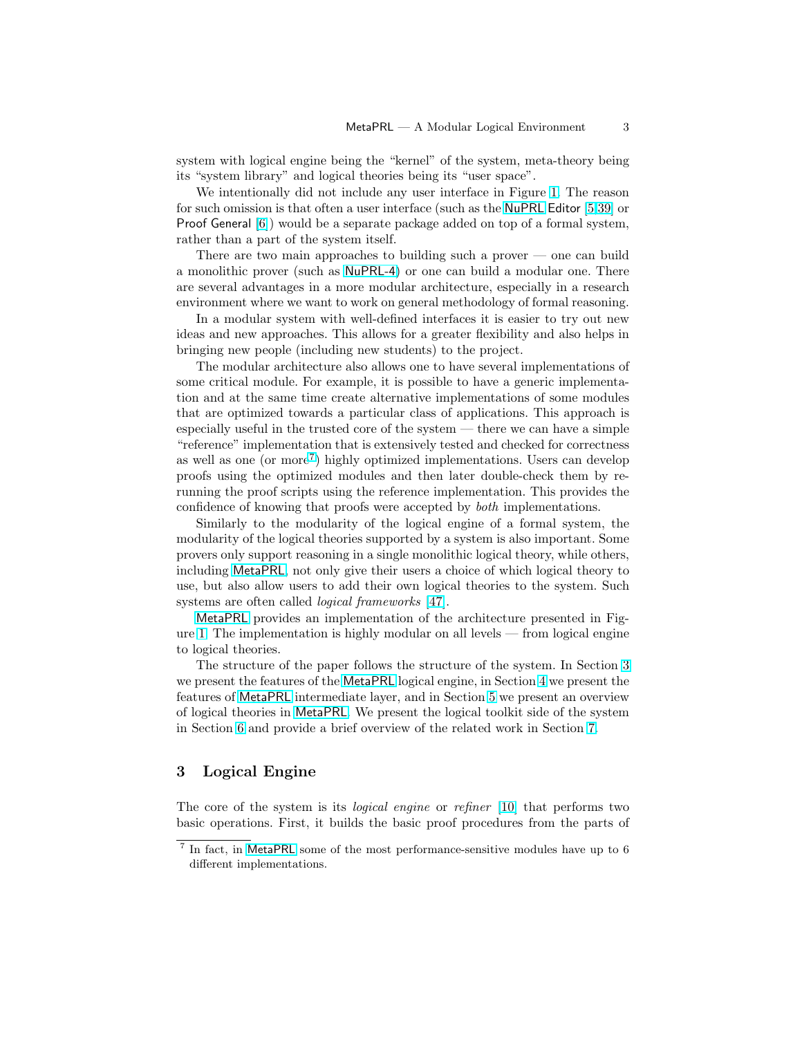system with logical engine being the "kernel" of the system, meta-theory being its "system library" and logical theories being its "user space".

We intentionally did not include any user interface in Figure [1.](#page-1-0) The reason for such omission is that often a user interface (such as the [NuPRL](http://nuprl.org/) Editor [\[5,](#page-13-0)[39\]](#page-15-0) or Proof General [\[6\]](#page-13-0)) would be a separate package added on top of a formal system, rather than a part of the system itself.

There are two main approaches to building such a prover — one can build a monolithic prover (such as [NuPRL-4](http://nuprl.org/)) or one can build a modular one. There are several advantages in a more modular architecture, especially in a research environment where we want to work on general methodology of formal reasoning.

In a modular system with well-defined interfaces it is easier to try out new ideas and new approaches. This allows for a greater flexibility and also helps in bringing new people (including new students) to the project.

The modular architecture also allows one to have several implementations of some critical module. For example, it is possible to have a generic implementation and at the same time create alternative implementations of some modules that are optimized towards a particular class of applications. This approach is especially useful in the trusted core of the system — there we can have a simple "reference" implementation that is extensively tested and checked for correctness as well as one (or more<sup>7</sup>) highly optimized implementations. Users can develop proofs using the optimized modules and then later double-check them by rerunning the proof scripts using the reference implementation. This provides the confidence of knowing that proofs were accepted by both implementations.

Similarly to the modularity of the logical engine of a formal system, the modularity of the logical theories supported by a system is also important. Some provers only support reasoning in a single monolithic logical theory, while others, including [MetaPRL](http://metaprl.org/), not only give their users a choice of which logical theory to use, but also allow users to add their own logical theories to the system. Such systems are often called logical frameworks [\[47\]](#page-15-0).

[MetaPRL](http://metaprl.org/) provides an implementation of the architecture presented in Figure [1.](#page-1-0) The implementation is highly modular on all levels — from logical engine to logical theories.

The structure of the paper follows the structure of the system. In Section 3 we present the features of the [MetaPRL](http://metaprl.org/) logical engine, in Section [4](#page-6-0) we present the features of [MetaPRL](http://metaprl.org/) intermediate layer, and in Section [5](#page-8-0) we present an overview of logical theories in [MetaPRL](http://metaprl.org/). We present the logical toolkit side of the system in Section [6](#page-11-0) and provide a brief overview of the related work in Section [7.](#page-12-0)

# 3 Logical Engine

The core of the system is its logical engine or refiner [\[10\]](#page-13-0) that performs two basic operations. First, it builds the basic proof procedures from the parts of

 $7$  In fact, in [MetaPRL](http://metaprl.org/) some of the most performance-sensitive modules have up to 6 different implementations.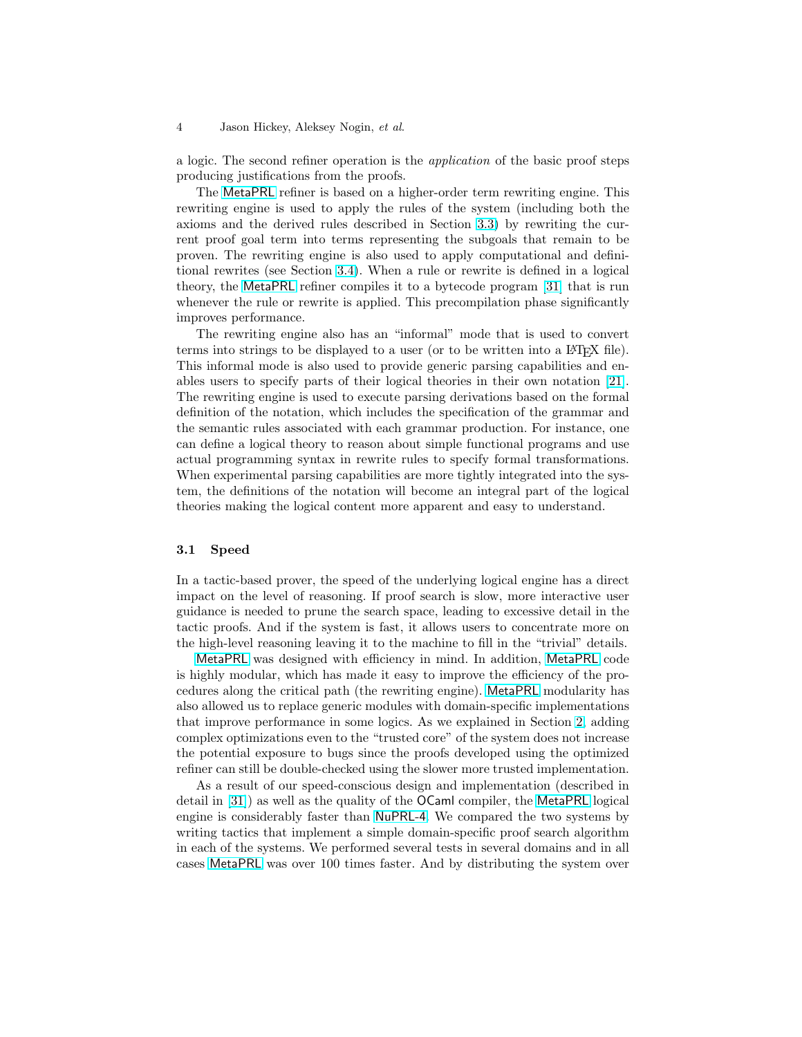<span id="page-3-0"></span>a logic. The second refiner operation is the application of the basic proof steps producing justifications from the proofs.

The [MetaPRL](http://metaprl.org/) refiner is based on a higher-order term rewriting engine. This rewriting engine is used to apply the rules of the system (including both the axioms and the derived rules described in Section [3.3\)](#page-4-0) by rewriting the current proof goal term into terms representing the subgoals that remain to be proven. The rewriting engine is also used to apply computational and definitional rewrites (see Section [3.4\)](#page-5-0). When a rule or rewrite is defined in a logical theory, the [MetaPRL](http://metaprl.org/) refiner compiles it to a bytecode program [\[31\]](#page-14-0) that is run whenever the rule or rewrite is applied. This precompilation phase significantly improves performance.

The rewriting engine also has an "informal" mode that is used to convert terms into strings to be displayed to a user (or to be written into a LATEX file). This informal mode is also used to provide generic parsing capabilities and enables users to specify parts of their logical theories in their own notation [\[21\]](#page-14-0). The rewriting engine is used to execute parsing derivations based on the formal definition of the notation, which includes the specification of the grammar and the semantic rules associated with each grammar production. For instance, one can define a logical theory to reason about simple functional programs and use actual programming syntax in rewrite rules to specify formal transformations. When experimental parsing capabilities are more tightly integrated into the system, the definitions of the notation will become an integral part of the logical theories making the logical content more apparent and easy to understand.

#### 3.1 Speed

In a tactic-based prover, the speed of the underlying logical engine has a direct impact on the level of reasoning. If proof search is slow, more interactive user guidance is needed to prune the search space, leading to excessive detail in the tactic proofs. And if the system is fast, it allows users to concentrate more on the high-level reasoning leaving it to the machine to fill in the "trivial" details.

[MetaPRL](http://metaprl.org/) was designed with efficiency in mind. In addition, [MetaPRL](http://metaprl.org/) code is highly modular, which has made it easy to improve the efficiency of the procedures along the critical path (the rewriting engine). [MetaPRL](http://metaprl.org/) modularity has also allowed us to replace generic modules with domain-specific implementations that improve performance in some logics. As we explained in Section [2,](#page-1-0) adding complex optimizations even to the "trusted core" of the system does not increase the potential exposure to bugs since the proofs developed using the optimized refiner can still be double-checked using the slower more trusted implementation.

As a result of our speed-conscious design and implementation (described in detail in [\[31\]](#page-14-0)) as well as the quality of the OCaml compiler, the [MetaPRL](http://metaprl.org/) logical engine is considerably faster than [NuPRL-4](http://nuprl.org/). We compared the two systems by writing tactics that implement a simple domain-specific proof search algorithm in each of the systems. We performed several tests in several domains and in all cases [MetaPRL](http://metaprl.org/) was over 100 times faster. And by distributing the system over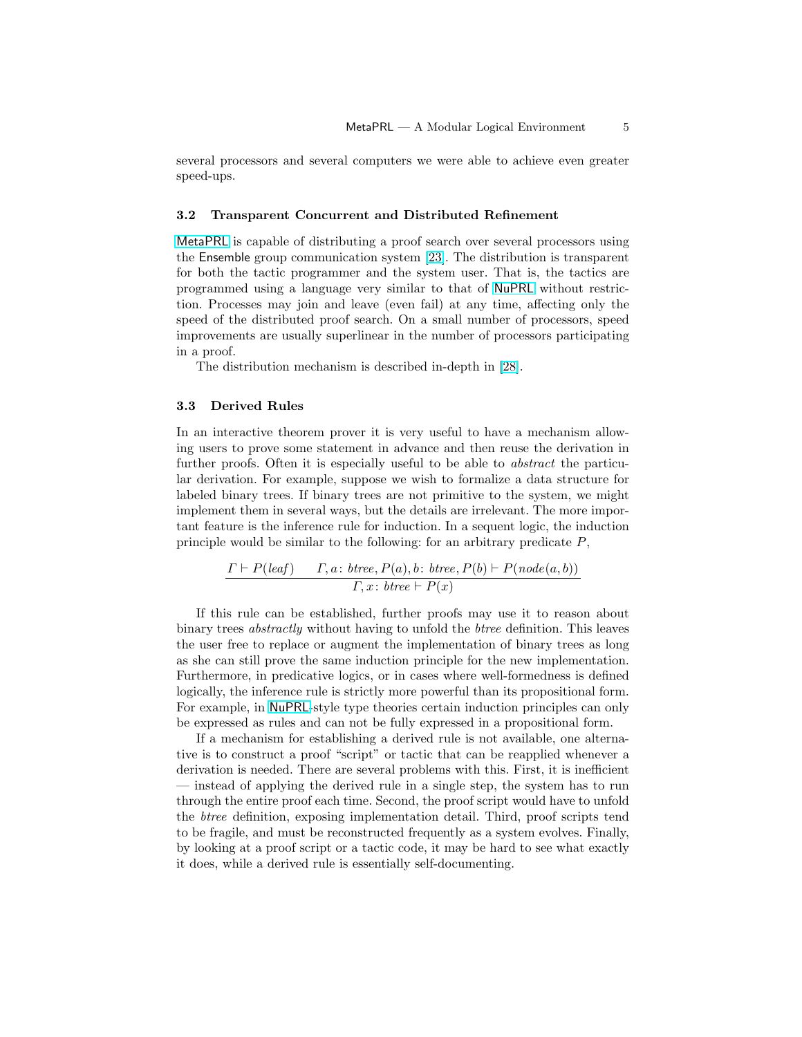<span id="page-4-0"></span>several processors and several computers we were able to achieve even greater speed-ups.

#### 3.2 Transparent Concurrent and Distributed Refinement

[MetaPRL](http://metaprl.org/) is capable of distributing a proof search over several processors using the Ensemble group communication system [\[23\]](#page-14-0). The distribution is transparent for both the tactic programmer and the system user. That is, the tactics are programmed using a language very similar to that of [NuPRL](http://nuprl.org/) without restriction. Processes may join and leave (even fail) at any time, affecting only the speed of the distributed proof search. On a small number of processors, speed improvements are usually superlinear in the number of processors participating in a proof.

The distribution mechanism is described in-depth in [\[28\]](#page-14-0).

#### 3.3 Derived Rules

In an interactive theorem prover it is very useful to have a mechanism allowing users to prove some statement in advance and then reuse the derivation in further proofs. Often it is especially useful to be able to *abstract* the particular derivation. For example, suppose we wish to formalize a data structure for labeled binary trees. If binary trees are not primitive to the system, we might implement them in several ways, but the details are irrelevant. The more important feature is the inference rule for induction. In a sequent logic, the induction principle would be similar to the following: for an arbitrary predicate  $P$ ,

$$
\frac{\Gamma \vdash P(leaf) \qquad \Gamma, a: \text{ three}, P(a), b: \text{ three}, P(b) \vdash P(\text{node}(a, b))}{\Gamma, x: \text{ three} \vdash P(x)}
$$

If this rule can be established, further proofs may use it to reason about binary trees *abstractly* without having to unfold the *btree* definition. This leaves the user free to replace or augment the implementation of binary trees as long as she can still prove the same induction principle for the new implementation. Furthermore, in predicative logics, or in cases where well-formedness is defined logically, the inference rule is strictly more powerful than its propositional form. For example, in [NuPRL](http://nuprl.org/)-style type theories certain induction principles can only be expressed as rules and can not be fully expressed in a propositional form.

If a mechanism for establishing a derived rule is not available, one alternative is to construct a proof "script" or tactic that can be reapplied whenever a derivation is needed. There are several problems with this. First, it is inefficient — instead of applying the derived rule in a single step, the system has to run through the entire proof each time. Second, the proof script would have to unfold the btree definition, exposing implementation detail. Third, proof scripts tend to be fragile, and must be reconstructed frequently as a system evolves. Finally, by looking at a proof script or a tactic code, it may be hard to see what exactly it does, while a derived rule is essentially self-documenting.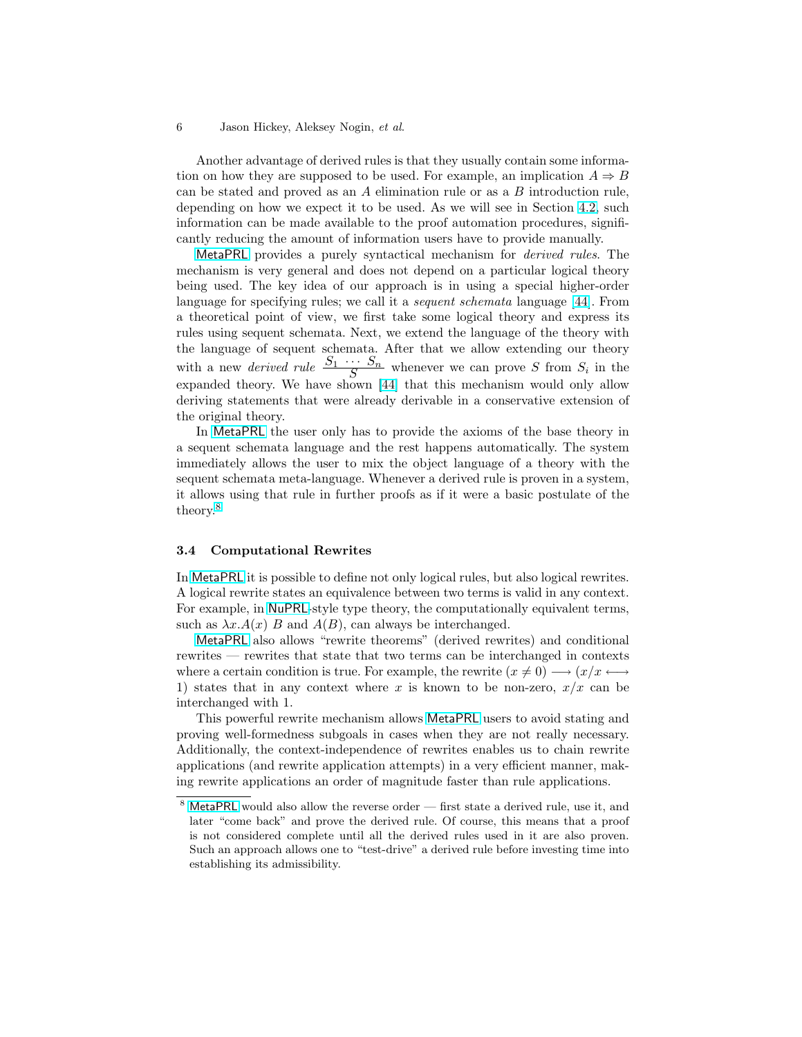<span id="page-5-0"></span>Another advantage of derived rules is that they usually contain some information on how they are supposed to be used. For example, an implication  $A \Rightarrow B$ can be stated and proved as an  $A$  elimination rule or as a  $B$  introduction rule, depending on how we expect it to be used. As we will see in Section [4.2,](#page-6-0) such information can be made available to the proof automation procedures, significantly reducing the amount of information users have to provide manually.

[MetaPRL](http://metaprl.org/) provides a purely syntactical mechanism for derived rules. The mechanism is very general and does not depend on a particular logical theory being used. The key idea of our approach is in using a special higher-order language for specifying rules; we call it a *sequent schemata* language [\[44\]](#page-15-0). From a theoretical point of view, we first take some logical theory and express its rules using sequent schemata. Next, we extend the language of the theory with the language of sequent schemata. After that we allow extending our theory with a new *derived rule*  $\frac{S_1 \cdots S_n}{S}$  whenever we can prove S from  $S_i$  in the expanded theory. We have shown  $[44]$  that this mechanism would only allow deriving statements that were already derivable in a conservative extension of the original theory.

In [MetaPRL](http://metaprl.org/) the user only has to provide the axioms of the base theory in a sequent schemata language and the rest happens automatically. The system immediately allows the user to mix the object language of a theory with the sequent schemata meta-language. Whenever a derived rule is proven in a system, it allows using that rule in further proofs as if it were a basic postulate of the theory.<sup>8</sup>

#### 3.4 Computational Rewrites

In [MetaPRL](http://metaprl.org/) it is possible to define not only logical rules, but also logical rewrites. A logical rewrite states an equivalence between two terms is valid in any context. For example, in [NuPRL](http://nuprl.org/)-style type theory, the computationally equivalent terms, such as  $\lambda x.A(x)$  B and  $A(B)$ , can always be interchanged.

[MetaPRL](http://metaprl.org/) also allows "rewrite theorems" (derived rewrites) and conditional rewrites — rewrites that state that two terms can be interchanged in contexts where a certain condition is true. For example, the rewrite  $(x \neq 0) \longrightarrow (x/x \longleftrightarrow$ 1) states that in any context where x is known to be non-zero,  $x/x$  can be interchanged with 1.

This powerful rewrite mechanism allows [MetaPRL](http://metaprl.org/) users to avoid stating and proving well-formedness subgoals in cases when they are not really necessary. Additionally, the context-independence of rewrites enables us to chain rewrite applications (and rewrite application attempts) in a very efficient manner, making rewrite applications an order of magnitude faster than rule applications.

 $8$  [MetaPRL](http://metaprl.org/) would also allow the reverse order — first state a derived rule, use it, and later "come back" and prove the derived rule. Of course, this means that a proof is not considered complete until all the derived rules used in it are also proven. Such an approach allows one to "test-drive" a derived rule before investing time into establishing its admissibility.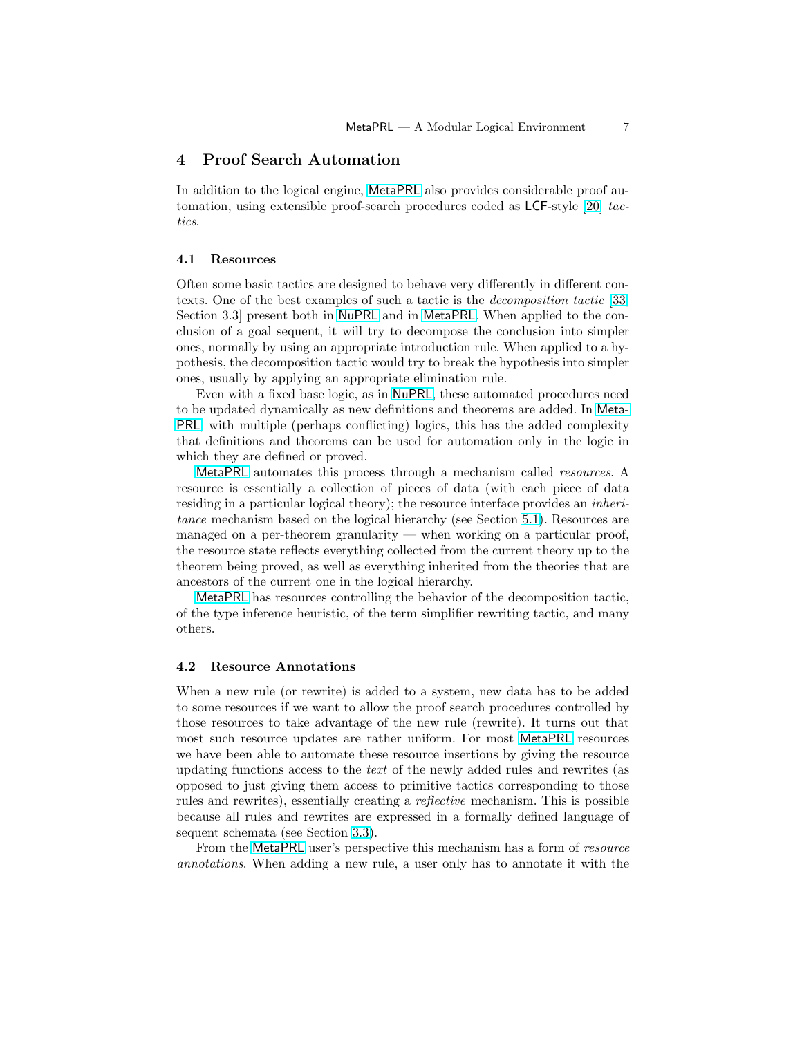## <span id="page-6-0"></span>4 Proof Search Automation

In addition to the logical engine, [MetaPRL](http://metaprl.org/) also provides considerable proof automation, using extensible proof-search procedures coded as LCF-style [\[20\]](#page-14-0) tactics.

#### 4.1 Resources

Often some basic tactics are designed to behave very differently in different contexts. One of the best examples of such a tactic is the decomposition tactic [\[33,](#page-14-0) Section 3.3] present both in [NuPRL](http://nuprl.org/) and in [MetaPRL](http://metaprl.org/). When applied to the conclusion of a goal sequent, it will try to decompose the conclusion into simpler ones, normally by using an appropriate introduction rule. When applied to a hypothesis, the decomposition tactic would try to break the hypothesis into simpler ones, usually by applying an appropriate elimination rule.

Even with a fixed base logic, as in [NuPRL](http://nuprl.org/), these automated procedures need to be updated dynamically as new definitions and theorems are added. In [Meta-](http://metaprl.org/)[PRL](http://metaprl.org/), with multiple (perhaps conflicting) logics, this has the added complexity that definitions and theorems can be used for automation only in the logic in which they are defined or proved.

[MetaPRL](http://metaprl.org/) automates this process through a mechanism called resources. A resource is essentially a collection of pieces of data (with each piece of data residing in a particular logical theory); the resource interface provides an inheritance mechanism based on the logical hierarchy (see Section [5.1\)](#page-8-0). Resources are managed on a per-theorem granularity — when working on a particular proof, the resource state reflects everything collected from the current theory up to the theorem being proved, as well as everything inherited from the theories that are ancestors of the current one in the logical hierarchy.

[MetaPRL](http://metaprl.org/) has resources controlling the behavior of the decomposition tactic, of the type inference heuristic, of the term simplifier rewriting tactic, and many others.

#### 4.2 Resource Annotations

When a new rule (or rewrite) is added to a system, new data has to be added to some resources if we want to allow the proof search procedures controlled by those resources to take advantage of the new rule (rewrite). It turns out that most such resource updates are rather uniform. For most [MetaPRL](http://metaprl.org/) resources we have been able to automate these resource insertions by giving the resource updating functions access to the text of the newly added rules and rewrites (as opposed to just giving them access to primitive tactics corresponding to those rules and rewrites), essentially creating a reflective mechanism. This is possible because all rules and rewrites are expressed in a formally defined language of sequent schemata (see Section [3.3\)](#page-4-0).

From the [MetaPRL](http://metaprl.org/) user's perspective this mechanism has a form of resource annotations. When adding a new rule, a user only has to annotate it with the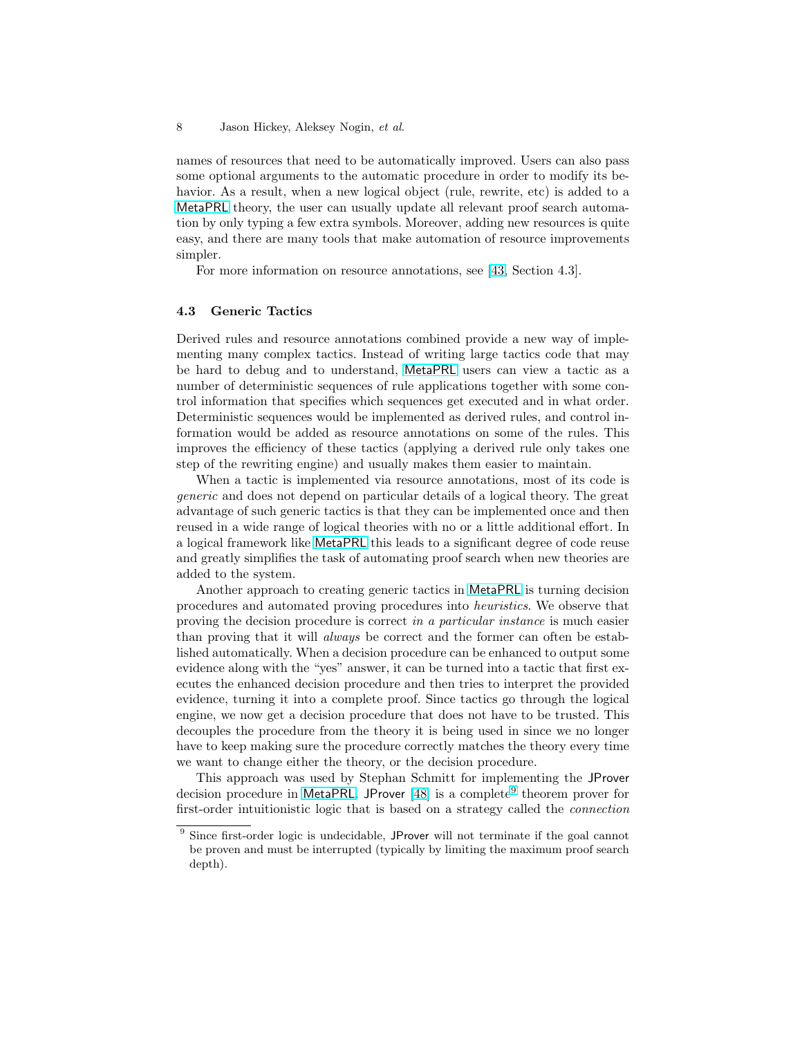<span id="page-7-0"></span>names of resources that need to be automatically improved. Users can also pass some optional arguments to the automatic procedure in order to modify its behavior. As a result, when a new logical object (rule, rewrite, etc) is added to a [MetaPRL](http://metaprl.org/) theory, the user can usually update all relevant proof search automation by only typing a few extra symbols. Moreover, adding new resources is quite easy, and there are many tools that make automation of resource improvements simpler.

For more information on resource annotations, see [\[43,](#page-15-0) Section 4.3].

#### 4.3 Generic Tactics

Derived rules and resource annotations combined provide a new way of implementing many complex tactics. Instead of writing large tactics code that may be hard to debug and to understand, [MetaPRL](http://metaprl.org/) users can view a tactic as a number of deterministic sequences of rule applications together with some control information that specifies which sequences get executed and in what order. Deterministic sequences would be implemented as derived rules, and control information would be added as resource annotations on some of the rules. This improves the efficiency of these tactics (applying a derived rule only takes one step of the rewriting engine) and usually makes them easier to maintain.

When a tactic is implemented via resource annotations, most of its code is generic and does not depend on particular details of a logical theory. The great advantage of such generic tactics is that they can be implemented once and then reused in a wide range of logical theories with no or a little additional effort. In a logical framework like [MetaPRL](http://metaprl.org/) this leads to a significant degree of code reuse and greatly simplifies the task of automating proof search when new theories are added to the system.

Another approach to creating generic tactics in [MetaPRL](http://metaprl.org/) is turning decision procedures and automated proving procedures into heuristics. We observe that proving the decision procedure is correct in a particular instance is much easier than proving that it will always be correct and the former can often be established automatically. When a decision procedure can be enhanced to output some evidence along with the "yes" answer, it can be turned into a tactic that first executes the enhanced decision procedure and then tries to interpret the provided evidence, turning it into a complete proof. Since tactics go through the logical engine, we now get a decision procedure that does not have to be trusted. This decouples the procedure from the theory it is being used in since we no longer have to keep making sure the procedure correctly matches the theory every time we want to change either the theory, or the decision procedure.

This approach was used by Stephan Schmitt for implementing the JProver decision procedure in [MetaPRL](http://metaprl.org/). JProver [\[48\]](#page-15-0) is a complete<sup>9</sup> theorem prover for first-order intuitionistic logic that is based on a strategy called the connection

<sup>&</sup>lt;sup>9</sup> Since first-order logic is undecidable, JProver will not terminate if the goal cannot be proven and must be interrupted (typically by limiting the maximum proof search depth).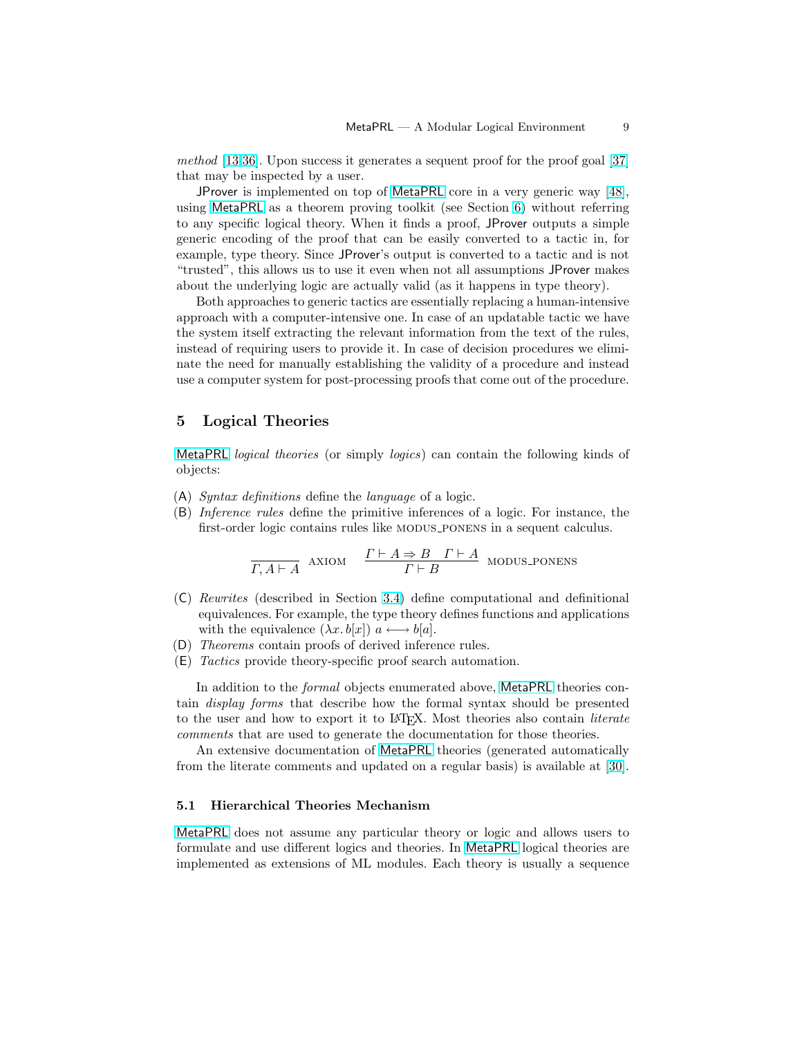<span id="page-8-0"></span>method [\[13](#page-13-0)[,36\]](#page-15-0). Upon success it generates a sequent proof for the proof goal [\[37\]](#page-15-0) that may be inspected by a user.

JProver is implemented on top of [MetaPRL](http://metaprl.org/) core in a very generic way [\[48\]](#page-15-0), using [MetaPRL](http://metaprl.org/) as a theorem proving toolkit (see Section [6\)](#page-11-0) without referring to any specific logical theory. When it finds a proof, JProver outputs a simple generic encoding of the proof that can be easily converted to a tactic in, for example, type theory. Since JProver's output is converted to a tactic and is not "trusted", this allows us to use it even when not all assumptions JProver makes about the underlying logic are actually valid (as it happens in type theory).

Both approaches to generic tactics are essentially replacing a human-intensive approach with a computer-intensive one. In case of an updatable tactic we have the system itself extracting the relevant information from the text of the rules, instead of requiring users to provide it. In case of decision procedures we eliminate the need for manually establishing the validity of a procedure and instead use a computer system for post-processing proofs that come out of the procedure.

### 5 Logical Theories

[MetaPRL](http://metaprl.org/) logical theories (or simply logics) can contain the following kinds of objects:

- (A) Syntax definitions define the language of a logic.
- (B) Inference rules define the primitive inferences of a logic. For instance, the first-order logic contains rules like MODUS\_PONENS in a sequent calculus.

$$
\frac{\Gamma \vdash A \Rightarrow B \quad \Gamma \vdash A}{\Gamma \vdash B}
$$
   
 
$$
\text{MODUS\_PONENS}
$$

- (C) Rewrites (described in Section [3.4\)](#page-5-0) define computational and definitional equivalences. For example, the type theory defines functions and applications with the equivalence  $(\lambda x. b[x])$   $a \longleftrightarrow b[a]$ .
- (D) Theorems contain proofs of derived inference rules.
- (E) Tactics provide theory-specific proof search automation.

In addition to the formal objects enumerated above, [MetaPRL](http://metaprl.org/) theories contain display forms that describe how the formal syntax should be presented to the user and how to export it to LATEX. Most theories also contain *literate* comments that are used to generate the documentation for those theories.

An extensive documentation of [MetaPRL](http://metaprl.org/) theories (generated automatically from the literate comments and updated on a regular basis) is available at [\[30\]](#page-14-0).

# 5.1 Hierarchical Theories Mechanism

[MetaPRL](http://metaprl.org/) does not assume any particular theory or logic and allows users to formulate and use different logics and theories. In [MetaPRL](http://metaprl.org/) logical theories are implemented as extensions of ML modules. Each theory is usually a sequence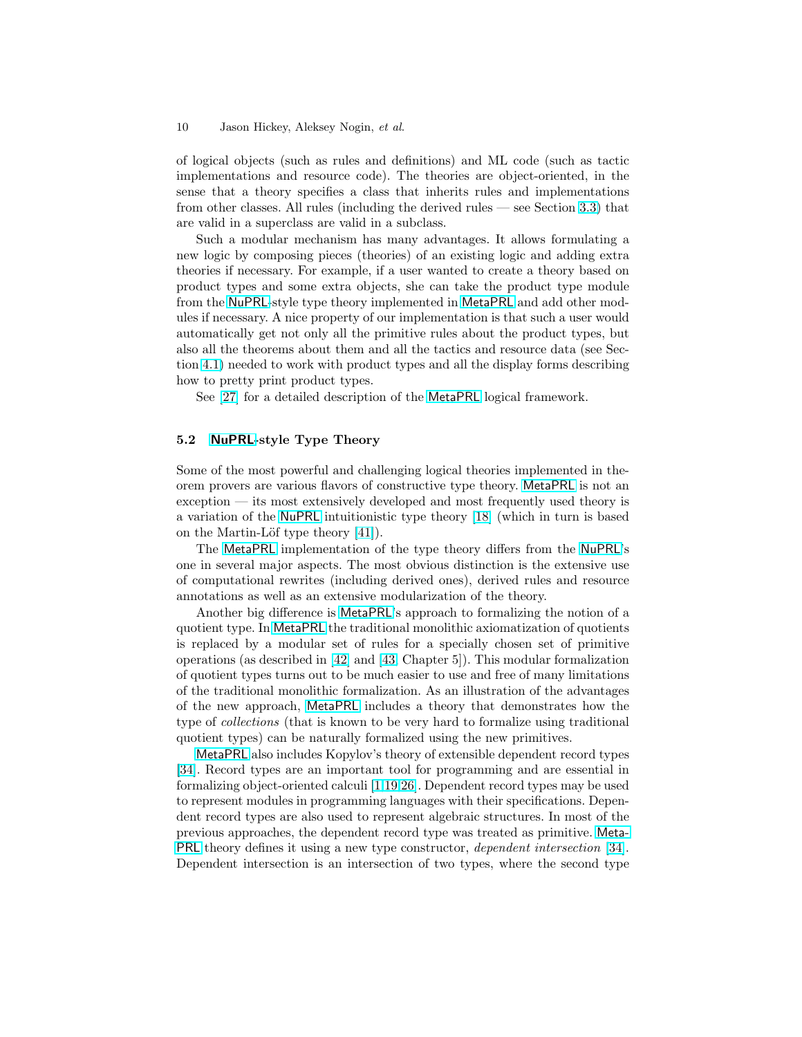<span id="page-9-0"></span>of logical objects (such as rules and definitions) and ML code (such as tactic implementations and resource code). The theories are object-oriented, in the sense that a theory specifies a class that inherits rules and implementations from other classes. All rules (including the derived rules — see Section [3.3\)](#page-4-0) that are valid in a superclass are valid in a subclass.

Such a modular mechanism has many advantages. It allows formulating a new logic by composing pieces (theories) of an existing logic and adding extra theories if necessary. For example, if a user wanted to create a theory based on product types and some extra objects, she can take the product type module from the [NuPRL](http://nuprl.org/)-style type theory implemented in [MetaPRL](http://metaprl.org/) and add other modules if necessary. A nice property of our implementation is that such a user would automatically get not only all the primitive rules about the product types, but also all the theorems about them and all the tactics and resource data (see Section [4.1\)](#page-6-0) needed to work with product types and all the display forms describing how to pretty print product types.

See [\[27\]](#page-14-0) for a detailed description of the [MetaPRL](http://metaprl.org/) logical framework.

### 5.2 [NuPRL](http://nuprl.org/)-style Type Theory

Some of the most powerful and challenging logical theories implemented in theorem provers are various flavors of constructive type theory. [MetaPRL](http://metaprl.org/) is not an exception — its most extensively developed and most frequently used theory is a variation of the [NuPRL](http://nuprl.org/) intuitionistic type theory [\[18\]](#page-13-0) (which in turn is based on the Martin-Löf type theory  $[41]$ ).

The [MetaPRL](http://metaprl.org/) implementation of the type theory differs from the [NuPRL](http://nuprl.org/)'s one in several major aspects. The most obvious distinction is the extensive use of computational rewrites (including derived ones), derived rules and resource annotations as well as an extensive modularization of the theory.

Another big difference is [MetaPRL](http://metaprl.org/)'s approach to formalizing the notion of a quotient type. In [MetaPRL](http://metaprl.org/) the traditional monolithic axiomatization of quotients is replaced by a modular set of rules for a specially chosen set of primitive operations (as described in  $[42]$  and  $[43, Chapter 5]$  $[43, Chapter 5]$ ). This modular formalization of quotient types turns out to be much easier to use and free of many limitations of the traditional monolithic formalization. As an illustration of the advantages of the new approach, [MetaPRL](http://metaprl.org/) includes a theory that demonstrates how the type of collections (that is known to be very hard to formalize using traditional quotient types) can be naturally formalized using the new primitives.

[MetaPRL](http://metaprl.org/) also includes Kopylov's theory of extensible dependent record types [\[34\]](#page-14-0). Record types are an important tool for programming and are essential in formalizing object-oriented calculi [\[1,](#page-12-0)[19,](#page-13-0)[26\]](#page-14-0). Dependent record types may be used to represent modules in programming languages with their specifications. Dependent record types are also used to represent algebraic structures. In most of the previous approaches, the dependent record type was treated as primitive. [Meta-](http://metaprl.org/)[PRL](http://metaprl.org/) theory defines it using a new type constructor, *dependent intersection* [\[34\]](#page-14-0). Dependent intersection is an intersection of two types, where the second type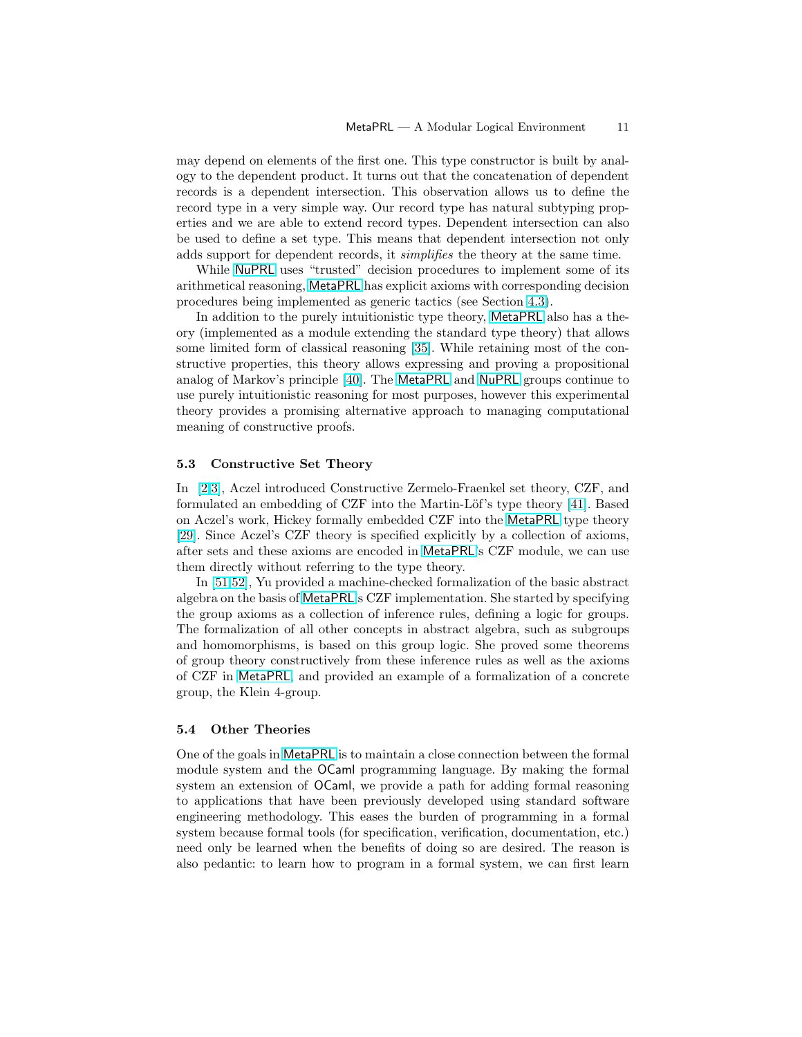may depend on elements of the first one. This type constructor is built by analogy to the dependent product. It turns out that the concatenation of dependent records is a dependent intersection. This observation allows us to define the record type in a very simple way. Our record type has natural subtyping properties and we are able to extend record types. Dependent intersection can also be used to define a set type. This means that dependent intersection not only adds support for dependent records, it simplifies the theory at the same time.

While [NuPRL](http://nuprl.org/) uses "trusted" decision procedures to implement some of its arithmetical reasoning, [MetaPRL](http://metaprl.org/) has explicit axioms with corresponding decision procedures being implemented as generic tactics (see Section [4.3\)](#page-7-0).

In addition to the purely intuitionistic type theory, [MetaPRL](http://metaprl.org/) also has a theory (implemented as a module extending the standard type theory) that allows some limited form of classical reasoning [\[35\]](#page-14-0). While retaining most of the constructive properties, this theory allows expressing and proving a propositional analog of Markov's principle [\[40\]](#page-15-0). The [MetaPRL](http://metaprl.org/) and [NuPRL](http://nuprl.org/) groups continue to use purely intuitionistic reasoning for most purposes, however this experimental theory provides a promising alternative approach to managing computational meaning of constructive proofs.

#### 5.3 Constructive Set Theory

In [\[2,3\]](#page-12-0), Aczel introduced Constructive Zermelo-Fraenkel set theory, CZF, and formulated an embedding of CZF into the Martin-Löf's type theory  $[41]$ . Based on Aczel's work, Hickey formally embedded CZF into the [MetaPRL](http://metaprl.org/) type theory [\[29\]](#page-14-0). Since Aczel's CZF theory is specified explicitly by a collection of axioms, after sets and these axioms are encoded in [MetaPRL](http://metaprl.org/)'s CZF module, we can use them directly without referring to the type theory.

In [\[51,52\]](#page-15-0), Yu provided a machine-checked formalization of the basic abstract algebra on the basis of [MetaPRL](http://metaprl.org/)'s CZF implementation. She started by specifying the group axioms as a collection of inference rules, defining a logic for groups. The formalization of all other concepts in abstract algebra, such as subgroups and homomorphisms, is based on this group logic. She proved some theorems of group theory constructively from these inference rules as well as the axioms of CZF in [MetaPRL](http://metaprl.org/), and provided an example of a formalization of a concrete group, the Klein 4-group.

#### 5.4 Other Theories

One of the goals in [MetaPRL](http://metaprl.org/) is to maintain a close connection between the formal module system and the OCaml programming language. By making the formal system an extension of OCaml, we provide a path for adding formal reasoning to applications that have been previously developed using standard software engineering methodology. This eases the burden of programming in a formal system because formal tools (for specification, verification, documentation, etc.) need only be learned when the benefits of doing so are desired. The reason is also pedantic: to learn how to program in a formal system, we can first learn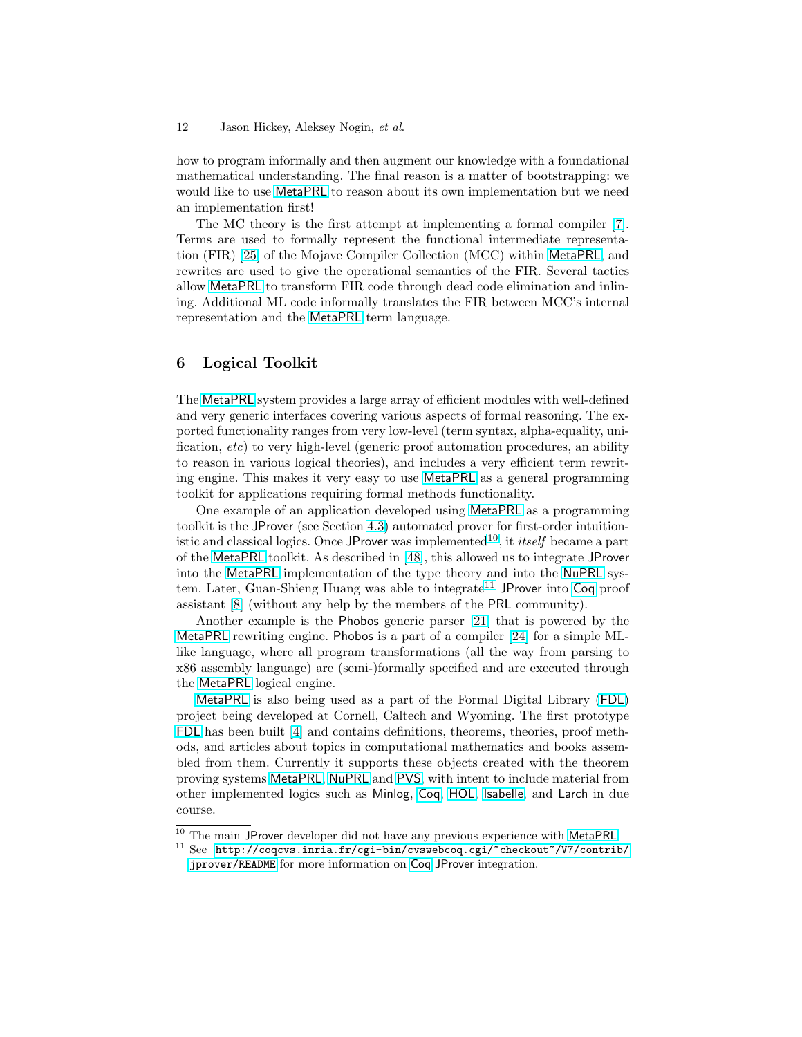<span id="page-11-0"></span>how to program informally and then augment our knowledge with a foundational mathematical understanding. The final reason is a matter of bootstrapping: we would like to use [MetaPRL](http://metaprl.org/) to reason about its own implementation but we need an implementation first!

The MC theory is the first attempt at implementing a formal compiler [\[7\]](#page-13-0). Terms are used to formally represent the functional intermediate representation (FIR) [\[25\]](#page-14-0) of the Mojave Compiler Collection (MCC) within [MetaPRL](http://metaprl.org/), and rewrites are used to give the operational semantics of the FIR. Several tactics allow [MetaPRL](http://metaprl.org/) to transform FIR code through dead code elimination and inlining. Additional ML code informally translates the FIR between MCC's internal representation and the [MetaPRL](http://metaprl.org/) term language.

# 6 Logical Toolkit

The [MetaPRL](http://metaprl.org/) system provides a large array of efficient modules with well-defined and very generic interfaces covering various aspects of formal reasoning. The exported functionality ranges from very low-level (term syntax, alpha-equality, unification, etc) to very high-level (generic proof automation procedures, an ability to reason in various logical theories), and includes a very efficient term rewriting engine. This makes it very easy to use [MetaPRL](http://metaprl.org/) as a general programming toolkit for applications requiring formal methods functionality.

One example of an application developed using [MetaPRL](http://metaprl.org/) as a programming toolkit is the JProver (see Section [4.3\)](#page-7-0) automated prover for first-order intuitionistic and classical logics. Once JProver was implemented<sup>10</sup>, it *itself* became a part of the [MetaPRL](http://metaprl.org/) toolkit. As described in [\[48\]](#page-15-0), this allowed us to integrate JProver into the [MetaPRL](http://metaprl.org/) implementation of the type theory and into the [NuPRL](http://nuprl.org/) sys-tem. Later, Guan-Shieng Huang was able to integrate<sup>11</sup> JProver into [Coq](http://coq.inria.fr/) proof assistant [\[8\]](#page-13-0) (without any help by the members of the PRL community).

Another example is the Phobos generic parser [\[21\]](#page-14-0) that is powered by the [MetaPRL](http://metaprl.org/) rewriting engine. Phobos is a part of a compiler [\[24\]](#page-14-0) for a simple MLlike language, where all program transformations (all the way from parsing to x86 assembly language) are (semi-)formally specified and are executed through the [MetaPRL](http://metaprl.org/) logical engine.

[MetaPRL](http://metaprl.org/) is also being used as a part of the Formal Digital Library ([FDL](http://www.nuprl.org/html/Digital_Libraries.html)) project being developed at Cornell, Caltech and Wyoming. The first prototype [FDL](http://www.nuprl.org/html/Digital_Libraries.html) has been built [\[4\]](#page-13-0) and contains definitions, theorems, theories, proof methods, and articles about topics in computational mathematics and books assembled from them. Currently it supports these objects created with the theorem proving systems [MetaPRL](http://metaprl.org/), [NuPRL](http://nuprl.org/) and [PVS](http://pvs.csl.sri.com/), with intent to include material from other implemented logics such as Minlog, [Coq](http://coq.inria.fr/), [HOL](http://www.cl.cam.ac.uk/Research/HVG/HOL/), [Isabelle](http://isabelle.informatik.tu-muenchen.de/), and Larch in due course.

 $10$  The main JProver developer did not have any previous experience with [MetaPRL](http://metaprl.org/).

 $^{11}$  See [http://coqcvs.inria.fr/cgi-bin/cvswebcoq.cgi/~checkout~/V7/contrib/](http://coqcvs.inria.fr/cgi-bin/cvswebcoq.cgi/~checkout~/V7/contrib/jprover/README)  $\,$ [jprover/README](http://coqcvs.inria.fr/cgi-bin/cvswebcoq.cgi/~checkout~/V7/contrib/jprover/README) for more information on [Coq](http://coq.inria.fr/) JProver integration.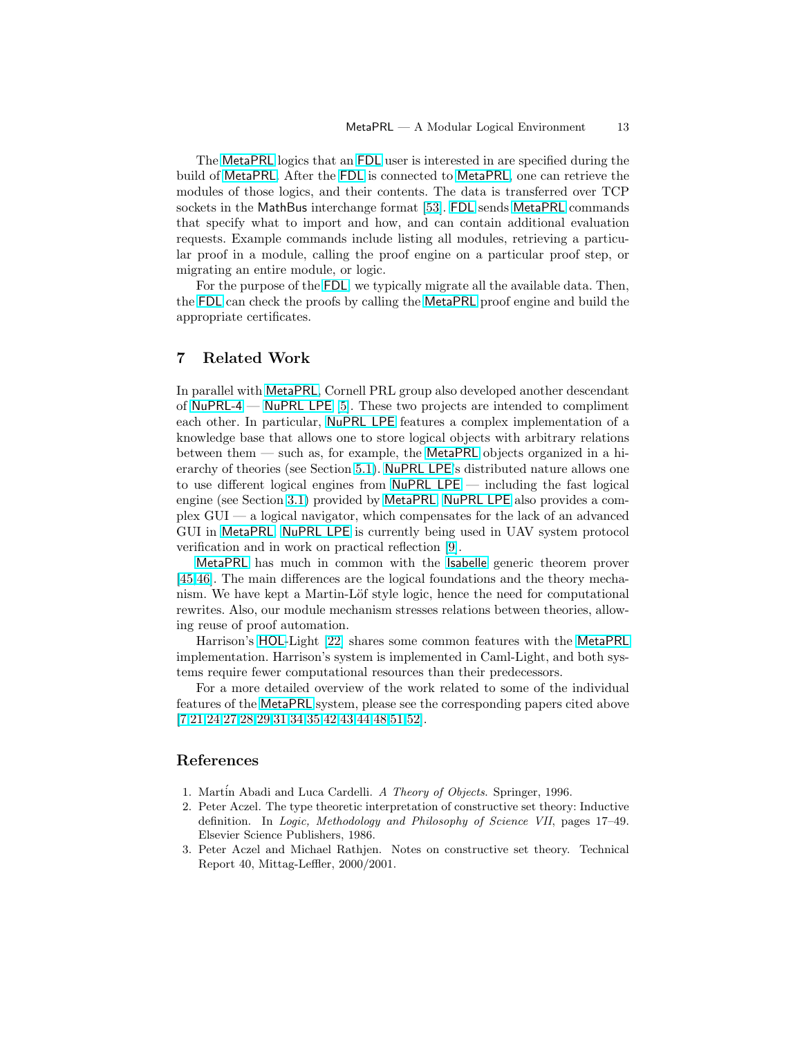<span id="page-12-0"></span>The [MetaPRL](http://metaprl.org/) logics that an [FDL](http://www.nuprl.org/html/Digital_Libraries.html) user is interested in are specified during the build of [MetaPRL](http://metaprl.org/). After the [FDL](http://www.nuprl.org/html/Digital_Libraries.html) is connected to [MetaPRL](http://metaprl.org/), one can retrieve the modules of those logics, and their contents. The data is transferred over TCP sockets in the MathBus interchange format [\[53\]](#page-15-0). [FDL](http://www.nuprl.org/html/Digital_Libraries.html) sends [MetaPRL](http://metaprl.org/) commands that specify what to import and how, and can contain additional evaluation requests. Example commands include listing all modules, retrieving a particular proof in a module, calling the proof engine on a particular proof step, or migrating an entire module, or logic.

For the purpose of the [FDL](http://www.nuprl.org/html/Digital_Libraries.html), we typically migrate all the available data. Then, the [FDL](http://www.nuprl.org/html/Digital_Libraries.html) can check the proofs by calling the [MetaPRL](http://metaprl.org/) proof engine and build the appropriate certificates.

# 7 Related Work

In parallel with [MetaPRL](http://metaprl.org/), Cornell PRL group also developed another descendant of [NuPRL-4](http://nuprl.org/) — [NuPRL LPE](http://nuprl.org/) [\[5\]](#page-13-0). These two projects are intended to compliment each other. In particular, [NuPRL LPE](http://nuprl.org/) features a complex implementation of a knowledge base that allows one to store logical objects with arbitrary relations between them — such as, for example, the [MetaPRL](http://metaprl.org/) objects organized in a hierarchy of theories (see Section [5.1\)](#page-8-0). [NuPRL LPE](http://nuprl.org/)'s distributed nature allows one to use different logical engines from [NuPRL LPE](http://nuprl.org/) — including the fast logical engine (see Section [3.1\)](#page-3-0) provided by [MetaPRL](http://metaprl.org/). [NuPRL LPE](http://nuprl.org/) also provides a complex GUI — a logical navigator, which compensates for the lack of an advanced GUI in [MetaPRL](http://metaprl.org/). [NuPRL LPE](http://nuprl.org/) is currently being used in UAV system protocol verification and in work on practical reflection [\[9\]](#page-13-0).

[MetaPRL](http://metaprl.org/) has much in common with the [Isabelle](http://isabelle.informatik.tu-muenchen.de/) generic theorem prover [\[45,46\]](#page-15-0). The main differences are the logical foundations and the theory mechanism. We have kept a Martin-Löf style logic, hence the need for computational rewrites. Also, our module mechanism stresses relations between theories, allowing reuse of proof automation.

Harrison's [HOL](http://www.cl.cam.ac.uk/Research/HVG/HOL/)-Light [\[22\]](#page-14-0) shares some common features with the [MetaPRL](http://metaprl.org/) implementation. Harrison's system is implemented in Caml-Light, and both systems require fewer computational resources than their predecessors.

For a more detailed overview of the work related to some of the individual features of the [MetaPRL](http://metaprl.org/) system, please see the corresponding papers cited above [\[7,](#page-13-0)[21,24,27,28,29,31,34,35](#page-14-0)[,42,43,44,48,51,52\]](#page-15-0).

## References

- 1. Martin Abadi and Luca Cardelli. A Theory of Objects. Springer, 1996.
- 2. Peter Aczel. The type theoretic interpretation of constructive set theory: Inductive definition. In Logic, Methodology and Philosophy of Science VII, pages 17–49. Elsevier Science Publishers, 1986.
- 3. Peter Aczel and Michael Rathjen. Notes on constructive set theory. Technical Report 40, Mittag-Leffler, 2000/2001.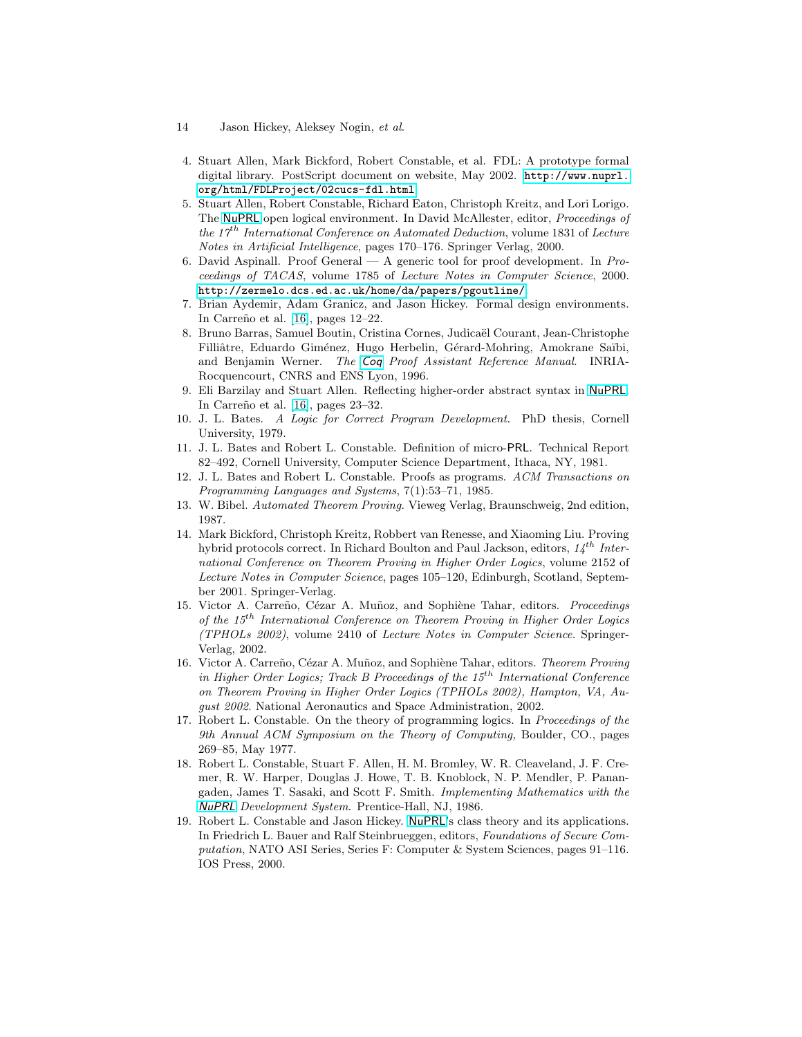- 4. Stuart Allen, Mark Bickford, Robert Constable, et al. FDL: A prototype formal digital library. PostScript document on website, May 2002. [http://www.nuprl.](http://www.nuprl.org/html/FDLProject/02cucs-fdl.html) [org/html/FDLProject/02cucs-fdl.html](http://www.nuprl.org/html/FDLProject/02cucs-fdl.html).
- 5. Stuart Allen, Robert Constable, Richard Eaton, Christoph Kreitz, and Lori Lorigo. The [NuPRL](http://nuprl.org/) open logical environment. In David McAllester, editor, Proceedings of the  $17^{th}$  International Conference on Automated Deduction, volume 1831 of Lecture Notes in Artificial Intelligence, pages 170–176. Springer Verlag, 2000.
- 6. David Aspinall. Proof General A generic tool for proof development. In Proceedings of TACAS, volume 1785 of Lecture Notes in Computer Science, 2000. <http://zermelo.dcs.ed.ac.uk/home/da/papers/pgoutline/>.
- 7. Brian Aydemir, Adam Granicz, and Jason Hickey. Formal design environments. In Carreño et al. [16], pages 12-22.
- 8. Bruno Barras, Samuel Boutin, Cristina Cornes, Judicaël Courant, Jean-Christophe Filliâtre, Eduardo Giménez, Hugo Herbelin, Gérard-Mohring, Amokrane Saïbi, and Benjamin Werner. The [Coq](http://coq.inria.fr/) Proof Assistant Reference Manual. INRIA-Rocquencourt, CNRS and ENS Lyon, 1996.
- 9. Eli Barzilay and Stuart Allen. Reflecting higher-order abstract syntax in [NuPRL](http://nuprl.org/). In Carreño et al. [16], pages 23–32.
- 10. J. L. Bates. A Logic for Correct Program Development. PhD thesis, Cornell University, 1979.
- 11. J. L. Bates and Robert L. Constable. Definition of micro-PRL. Technical Report 82–492, Cornell University, Computer Science Department, Ithaca, NY, 1981.
- 12. J. L. Bates and Robert L. Constable. Proofs as programs. ACM Transactions on Programming Languages and Systems, 7(1):53–71, 1985.
- 13. W. Bibel. Automated Theorem Proving. Vieweg Verlag, Braunschweig, 2nd edition, 1987.
- 14. Mark Bickford, Christoph Kreitz, Robbert van Renesse, and Xiaoming Liu. Proving hybrid protocols correct. In Richard Boulton and Paul Jackson, editors,  $14^{th}$  International Conference on Theorem Proving in Higher Order Logics, volume 2152 of Lecture Notes in Computer Science, pages 105–120, Edinburgh, Scotland, September 2001. Springer-Verlag.
- 15. Victor A. Carreño, Cézar A. Muñoz, and Sophiène Tahar, editors. Proceedings of the  $15<sup>th</sup>$  International Conference on Theorem Proving in Higher Order Logics (TPHOLs 2002), volume 2410 of Lecture Notes in Computer Science. Springer-Verlag, 2002.
- 16. Victor A. Carreño, Cézar A. Muñoz, and Sophiène Tahar, editors. Theorem Proving in Higher Order Logics; Track B Proceedings of the  $15<sup>th</sup>$  International Conference on Theorem Proving in Higher Order Logics (TPHOLs 2002), Hampton, VA, August 2002. National Aeronautics and Space Administration, 2002.
- 17. Robert L. Constable. On the theory of programming logics. In Proceedings of the 9th Annual ACM Symposium on the Theory of Computing, Boulder, CO., pages 269–85, May 1977.
- 18. Robert L. Constable, Stuart F. Allen, H. M. Bromley, W. R. Cleaveland, J. F. Cremer, R. W. Harper, Douglas J. Howe, T. B. Knoblock, N. P. Mendler, P. Panangaden, James T. Sasaki, and Scott F. Smith. Implementing Mathematics with the [NuPRL](http://nuprl.org/) Development System. Prentice-Hall, NJ, 1986.
- 19. Robert L. Constable and Jason Hickey. [NuPRL](http://nuprl.org/)'s class theory and its applications. In Friedrich L. Bauer and Ralf Steinbrueggen, editors, Foundations of Secure Computation, NATO ASI Series, Series F: Computer & System Sciences, pages 91–116. IOS Press, 2000.

<span id="page-13-0"></span><sup>14</sup> Jason Hickey, Aleksey Nogin, et al.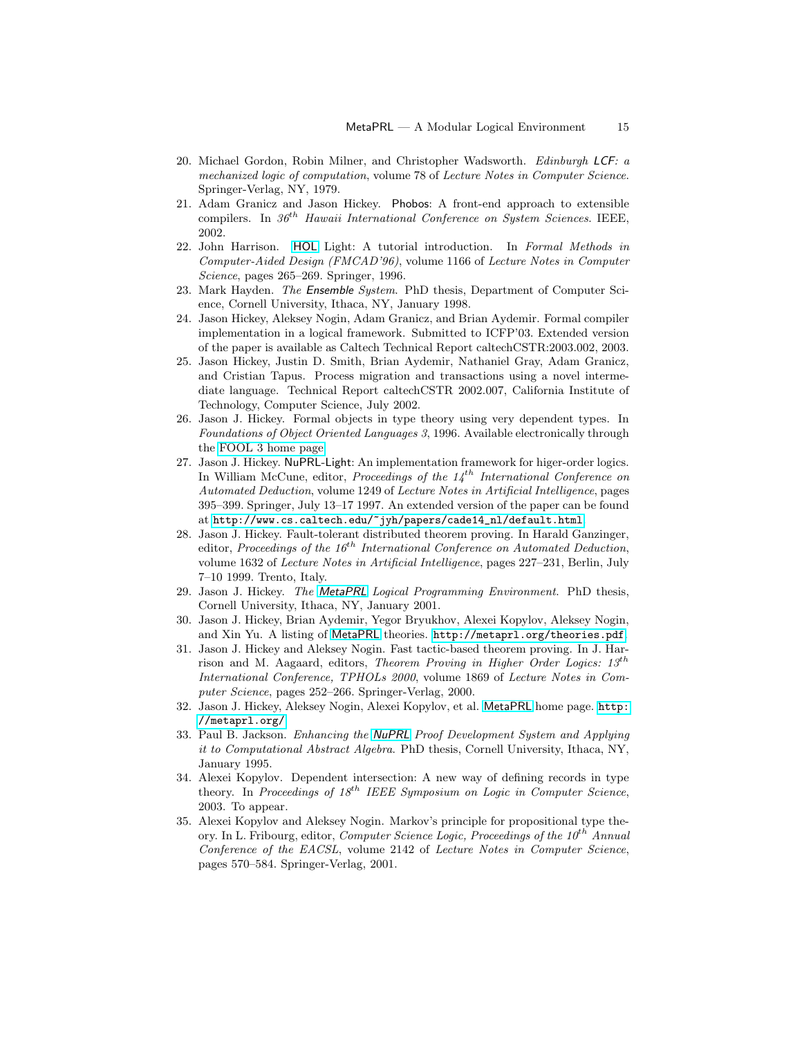- <span id="page-14-0"></span>20. Michael Gordon, Robin Milner, and Christopher Wadsworth. Edinburgh LCF: a mechanized logic of computation, volume 78 of Lecture Notes in Computer Science. Springer-Verlag, NY, 1979.
- 21. Adam Granicz and Jason Hickey. Phobos: A front-end approach to extensible compilers. In  $36<sup>th</sup>$  Hawaii International Conference on System Sciences. IEEE, 2002.
- 22. John Harrison. [HOL](http://www.cl.cam.ac.uk/Research/HVG/HOL/) Light: A tutorial introduction. In Formal Methods in Computer-Aided Design (FMCAD'96), volume 1166 of Lecture Notes in Computer Science, pages 265–269. Springer, 1996.
- 23. Mark Hayden. The Ensemble System. PhD thesis, Department of Computer Science, Cornell University, Ithaca, NY, January 1998.
- 24. Jason Hickey, Aleksey Nogin, Adam Granicz, and Brian Aydemir. Formal compiler implementation in a logical framework. Submitted to ICFP'03. Extended version of the paper is available as Caltech Technical Report caltechCSTR:2003.002, 2003.
- 25. Jason Hickey, Justin D. Smith, Brian Aydemir, Nathaniel Gray, Adam Granicz, and Cristian Tapus. Process migration and transactions using a novel intermediate language. Technical Report caltechCSTR 2002.007, California Institute of Technology, Computer Science, July 2002.
- 26. Jason J. Hickey. Formal objects in type theory using very dependent types. In Foundations of Object Oriented Languages 3, 1996. Available electronically through the [FOOL 3 home page.](http://www.cis.upenn.edu/~bcpierce/FOOL/FOOL3.html)
- 27. Jason J. Hickey. NuPRL-Light: An implementation framework for higer-order logics. In William McCune, editor, Proceedings of the  $14^{th}$  International Conference on Automated Deduction, volume 1249 of Lecture Notes in Artificial Intelligence, pages 395–399. Springer, July 13–17 1997. An extended version of the paper can be found at [http://www.cs.caltech.edu/~jyh/papers/cade14\\_nl/default.html](http://www.cs.caltech.edu/~jyh/papers/cade14_nl/default.html).
- 28. Jason J. Hickey. Fault-tolerant distributed theorem proving. In Harald Ganzinger, editor, Proceedings of the  $16^{th}$  International Conference on Automated Deduction, volume 1632 of Lecture Notes in Artificial Intelligence, pages 227–231, Berlin, July 7–10 1999. Trento, Italy.
- 29. Jason J. Hickey. The [MetaPRL](http://metaprl.org/) Logical Programming Environment. PhD thesis, Cornell University, Ithaca, NY, January 2001.
- 30. Jason J. Hickey, Brian Aydemir, Yegor Bryukhov, Alexei Kopylov, Aleksey Nogin, and Xin Yu. A listing of [MetaPRL](http://metaprl.org/) theories. <http://metaprl.org/theories.pdf>.
- 31. Jason J. Hickey and Aleksey Nogin. Fast tactic-based theorem proving. In J. Harrison and M. Aagaard, editors, Theorem Proving in Higher Order Logics:  $13^{th}$ International Conference, TPHOLs 2000, volume 1869 of Lecture Notes in Computer Science, pages 252–266. Springer-Verlag, 2000.
- 32. Jason J. Hickey, Aleksey Nogin, Alexei Kopylov, et al. [MetaPRL](http://metaprl.org/) home page. [http:](http://metaprl.org/) [//metaprl.org/](http://metaprl.org/).
- 33. Paul B. Jackson. Enhancing the [NuPRL](http://nuprl.org/) Proof Development System and Applying it to Computational Abstract Algebra. PhD thesis, Cornell University, Ithaca, NY, January 1995.
- 34. Alexei Kopylov. Dependent intersection: A new way of defining records in type theory. In Proceedings of  $18^{th}$  IEEE Symposium on Logic in Computer Science, 2003. To appear.
- 35. Alexei Kopylov and Aleksey Nogin. Markov's principle for propositional type theory. In L. Fribourg, editor, Computer Science Logic, Proceedings of the 10<sup>th</sup> Annual Conference of the EACSL, volume 2142 of Lecture Notes in Computer Science, pages 570–584. Springer-Verlag, 2001.